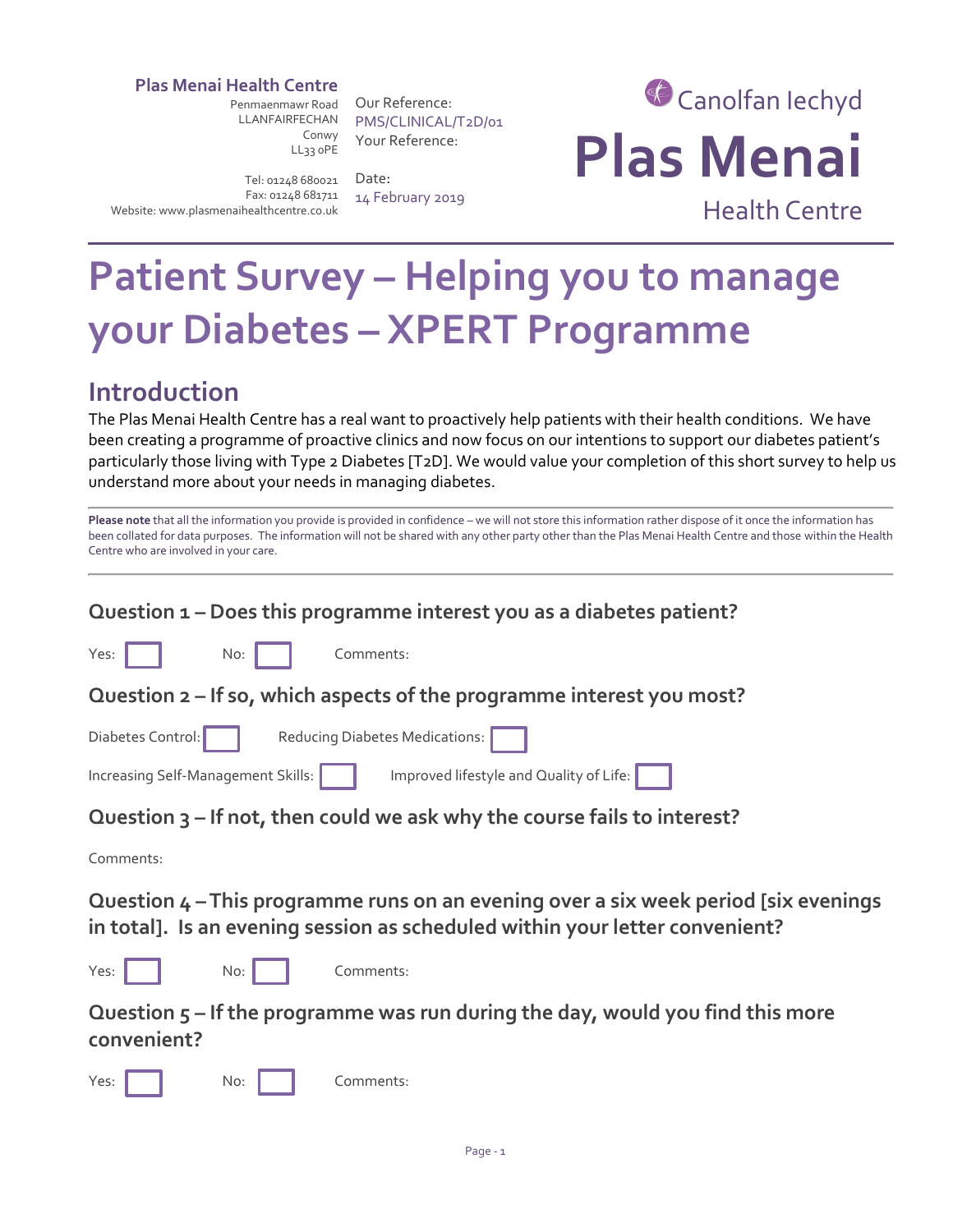#### **Plas Menai Health Centre**

Penmaenmawr Road LLANFAIRFECHAN Conwy LL33 0PE

Our Reference: PMS/CLINICAL/T2D/01 Your Reference:

Tel: 01248 680021 Fax: 01248 681711 Website: www.plasmenaihealthcentre.co.uk

Date: 14 February 2019

# Canolfan Iechyd **Plas Menai**

Health Centre

# **Patient Survey – Helping you to manage your Diabetes – XPERT Programme**

# **Introduction**

The Plas Menai Health Centre has a real want to proactively help patients with their health conditions. We have been creating a programme of proactive clinics and now focus on our intentions to support our diabetes patient's particularly those living with Type 2 Diabetes [T2D]. We would value your completion of this short survey to help us understand more about your needs in managing diabetes.

| Please note that all the information you provide is provided in confidence - we will not store this information rather dispose of it once the information has |
|---------------------------------------------------------------------------------------------------------------------------------------------------------------|
| been collated for data purposes. The information will not be shared with any other party other than the Plas Menai Health Centre and those within the Health  |
| Centre who are involved in your care.                                                                                                                         |

| Question 1 - Does this programme interest you as a diabetes patient?                                                                                                 |
|----------------------------------------------------------------------------------------------------------------------------------------------------------------------|
| Yes:<br>Comments:<br>No:                                                                                                                                             |
| Question 2 – If so, which aspects of the programme interest you most?                                                                                                |
| Diabetes Control:<br>Reducing Diabetes Medications:                                                                                                                  |
| Improved lifestyle and Quality of Life:<br>Increasing Self-Management Skills:                                                                                        |
| Question 3 - If not, then could we ask why the course fails to interest?                                                                                             |
| Comments:                                                                                                                                                            |
| Question 4 – This programme runs on an evening over a six week period [six evenings]<br>in total]. Is an evening session as scheduled within your letter convenient? |
| Yes:<br>Comments:<br>No:                                                                                                                                             |
| Question $5$ – If the programme was run during the day, would you find this more<br>convenient?                                                                      |
| Yes:<br>No:<br>Comments:                                                                                                                                             |